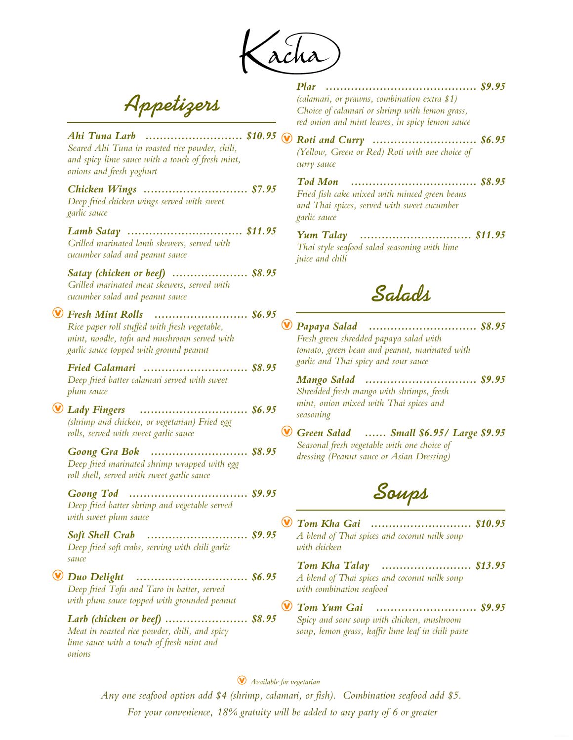*Plar .......................................... \$9.95*

*(calamari, or prawns, combination extra \$1) Choice of calamari or shrimp with lemon grass,*

**Appetizers**

| red onion and mint leaves, in spicy lemon sauce                                                                                                                   |
|-------------------------------------------------------------------------------------------------------------------------------------------------------------------|
| Ahi Tuna Larb  \$10.95<br><b>Roti and Curry</b> \$6.95<br>(Yellow, Green or Red) Roti with one choice of<br>curry sauce                                           |
| <b>Tod Mon</b><br>\$8.95<br>Chicken Wings  \$7.95<br>Fried fish cake mixed with minced green beans<br>and Thai spices, served with sweet cucumber<br>garlic sauce |
| <b>Yum Talay</b> \$11.95<br>Thai style seafood salad seasoning with lime<br><i>juice and chili</i>                                                                |
| Satay (chicken or beef)  \$8.95<br>Saladh                                                                                                                         |
| Fresh Mint Rolls  \$6.95<br>Papaya Salad  \$8.95<br>Fresh green shredded papaya salad with<br>tomato, green bean and peanut, marinated with                       |
| garlic and Thai spicy and sour sauce<br>Fried Calamari  \$8.95<br>Mango Salad  \$9.95<br>Shredded fresh mango with shrimps, fresh                                 |
| mint, onion mixed with Thai spices and<br>Lady Fingers  \$6.95<br>seasoning<br>Green Salad  Small \$6.95/ Large \$9.95                                            |
| Seasonal fresh vegetable with one choice of<br>Goong Gra Bok  \$8.95<br>dressing (Peanut sauce or Asian Dressing)                                                 |
| Soups                                                                                                                                                             |
| Tom Kha Gai  \$10.95<br>Soft Shell Crab  \$9.95<br>A blend of Thai spices and coconut milk soup<br>with chicken                                                   |
| Tom Kha Talay  \$13.95<br>A blend of Thai spices and coconut milk soup<br>with combination seafood                                                                |
| Tom Yum Gai  \$9.95<br>Larb (chicken or beef)  \$8.95<br>Spicy and sour soup with chicken, mushroom<br>soup, lemon grass, kaffir lime leaf in chili paste         |
|                                                                                                                                                                   |

*For your convenience, 18% gratuity will be added to any party of 6 or greater Any one seafood option add \$4 (shrimp, calamari, or fish). Combination seafood add \$5.*  Æ *Available for vegetarian*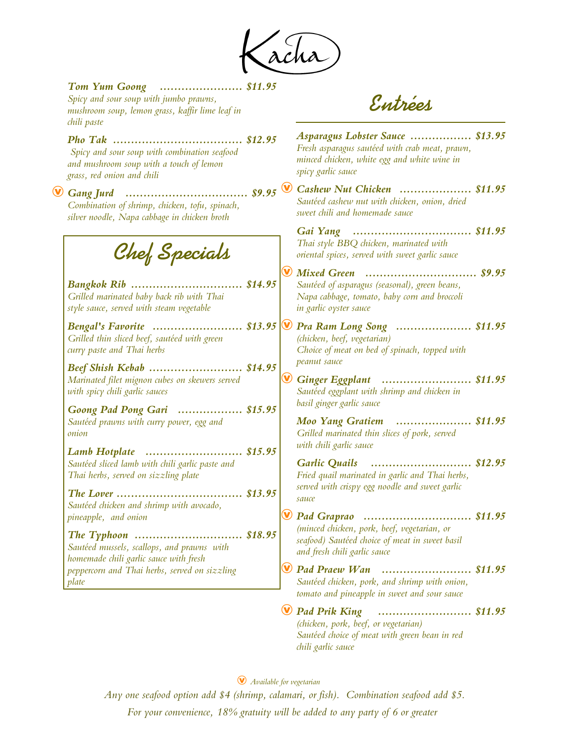(acha)

| Tom Yum Goong  \$11.95<br>Spicy and sour soup with jumbo prawns,<br>mushroom soup, lemon grass, kaffir lime leaf in<br>chili paste                         | Entrées                                                                                                                                                               |
|------------------------------------------------------------------------------------------------------------------------------------------------------------|-----------------------------------------------------------------------------------------------------------------------------------------------------------------------|
| \$12.95<br>Spicy and sour soup with combination seafood<br>and mushroom soup with a touch of lemon<br>grass, red onion and chili                           | Asparagus Lobster Sauce  \$13.95<br>Fresh asparagus sautéed with crab meat, prawn,<br>minced chicken, white egg and white wine in<br>spicy garlic sauce               |
| $$9.95$ <sup><math>\vee</math></sup><br>$\mathbf \Omega$<br>Combination of shrimp, chicken, tofu, spinach,<br>silver noodle, Napa cabbage in chicken broth | Cashew Nut Chicken  \$11.95<br>Sautéed cashew nut with chicken, onion, dried<br>sweet chili and homemade sauce                                                        |
| Chef Specials                                                                                                                                              | Thai style BBQ chicken, marinated with<br>oriental spices, served with sweet garlic sauce                                                                             |
| Bangkok Rib  \$14.95<br>Grilled marinated baby back rib with Thai<br>style sauce, served with steam vegetable                                              | $\mathbf{\bm \Psi}$<br>Mixed Green  \$9.95<br>Sautéed of asparagus (seasonal), green beans,<br>Napa cabbage, tomato, baby corn and broccoli<br>in garlic oyster sauce |
| Bengal's Favorite  \$13.95 $\vert \mathbf{\mathsf{\hat{V}}} \vert$<br>Grilled thin sliced beef, sautéed with green<br>curry paste and Thai herbs           | Pra Ram Long Song  \$11.95<br>(chicken, beef, vegetarian)<br>Choice of meat on bed of spinach, topped with                                                            |
| Beef Shish Kebab  \$14.95<br>Marinated filet mignon cubes on skewers served<br>with spicy chili garlic sauces                                              | peanut sauce<br>$\mathbf{\bm \Psi}$<br>Ginger Eggplant  \$11.95<br>Sautéed eggplant with shrimp and chicken in<br>basil ginger garlic sauce                           |
| Goong Pad Pong Gari  \$15.95<br>Sautéed prawns with curry power, egg and<br>onion                                                                          | Moo Yang Gratiem  \$11.95<br>Grilled marinated thin slices of pork, served                                                                                            |
| Lamb Hotplate  \$15.95<br>Sautéed sliced lamb with chili garlic paste and<br>Thai herbs, served on sizzling plate                                          | with chili garlic sauce<br><b>Garlic Quails</b><br>\$12.95<br>Fried quail marinated in garlic and Thai herbs,                                                         |
| $\ldots$ \$13.95<br>The Lover<br>Sautéed chicken and shrimp with avocado,<br>pineapple, and onion                                                          | served with crispy egg noodle and sweet garlic<br>sauce<br>Pad Graprao<br>\$11.95                                                                                     |
| The Typhoon  \$18.95<br>Sautéed mussels, scallops, and prawns with                                                                                         | (minced chicken, pork, beef, vegetarian, or<br>seafood) Sautéed choice of meat in sweet basil<br>and fresh chili garlic sauce                                         |
| homemade chili garlic sauce with fresh<br>peppercorn and Thai herbs, served on sizzling<br>plate                                                           | $\mathbf v$<br><b>Pad Praew Wan</b><br>Sautéed chicken, pork, and shrimp with onion,<br>tomato and pineapple in sweet and sour sauce                                  |
|                                                                                                                                                            | <b>Pad Prik King</b><br>\$11.95<br>(chicken, pork, beef, or vegetarian)<br>Sautéed choice of meat with green bean in red<br>chili garlic sauce                        |

*Any one seafood option add \$4 (shrimp, calamari, or fish). Combination seafood add \$5. For your convenience, 18% gratuity will be added to any party of 6 or greater* Æ *Available for vegetarian*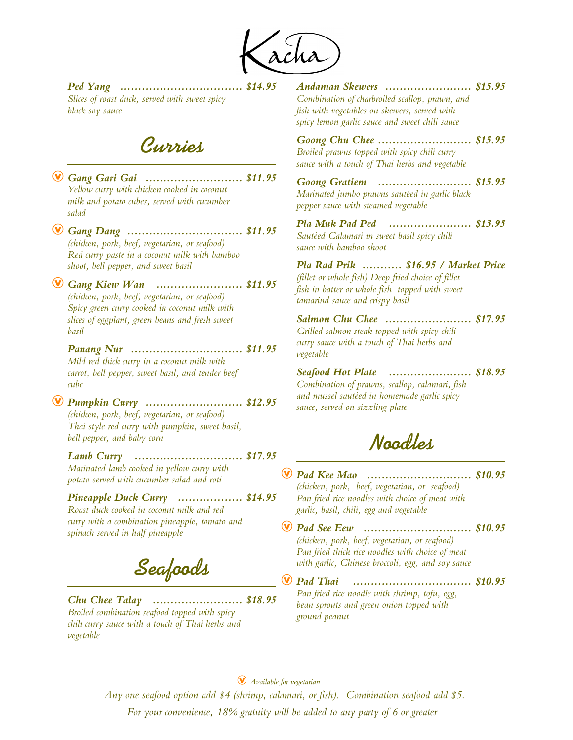*Ped Yang .................................. \$14.95 Slices of roast duck, served with sweet spicy black soy sauce* 

**Curries**

Æ *Gang Gari Gai ........................... \$11.95 Yellow curry with chicken cooked in coconut milk and potato cubes, served with cucumber salad*  Æ *Gang Dang ................................ \$11.95 (chicken, pork, beef, vegetarian, or seafood) Red curry paste in a coconut milk with bamboo shoot, bell pepper, and sweet basil* Æ *Gang Kiew Wan ........................ \$11.95 (chicken, pork, beef, vegetarian, or seafood) Spicy green curry cooked in coconut milk with slices of eggplant, green beans and fresh sweet basil Panang Nur ............................... \$11.95 Mild red thick curry in a coconut milk with carrot, bell pepper, sweet basil, and tender beef cube*  Æ *Pumpkin Curry ........................... \$12.95 (chicken, pork, beef, vegetarian, or seafood) Thai style red curry with pumpkin, sweet basil, bell pepper, and baby corn Lamb Curry Marinated lamb cooked in yellow curry with potato served with cucumber salad and roti .............................. \$17.95 Pineapple Duck Curry .................. \$14.95 Roast duck cooked in coconut milk and red curry with a combination pineapple, tomato and spinach served in half pineapple* **Seafoods** *Chu Chee Talay ......................... \$18.95*

*Broiled combination seafood topped with spicy chili curry sauce with a touch of Thai herbs and vegetable*

*Andaman Skewers ........................ \$15.95 Combination of charbroiled scallop, prawn, and fish with vegetables on skewers, served with spicy lemon garlic sauce and sweet chili sauce*

*Goong Chu Chee .......................... \$15.95 Broiled prawns topped with spicy chili curry sauce with a touch of Thai herbs and vegetable* 

*Goong Gratiem .......................... \$15.95 Marinated jumbo prawns sautéed in garlic black pepper sauce with steamed vegetable*

*Pla Muk Pad Ped ....................... \$13.95 Sautéed Calamari in sweet basil spicy chili sauce with bamboo shoot*

*Pla Rad Prik ........... \$16.95 / Market Price (fillet or whole fish) Deep fried choice of fillet fish in batter or whole fish topped with sweet tamarind sauce and crispy basil* 

*Salmon Chu Chee ........................ \$17.95 Grilled salmon steak topped with spicy chili curry sauce with a touch of Thai herbs and vegetable* 

*Seafood Hot Plate ....................... \$18.95 Combination of prawns, scallop, calamari, fish and mussel sautéed in homemade garlic spicy sauce, served on sizzling plate*

**Noodles**

Æ *Pad Kee Mao ............................. \$10.95 (chicken, pork, beef, vegetarian, or seafood) Pan fried rice noodles with choice of meat with garlic, basil, chili, egg and vegetable*

Æ *Pad See Eew .............................. \$10.95 (chicken, pork, beef, vegetarian, or seafood) Pan fried thick rice noodles with choice of meat with garlic, Chinese broccoli, egg, and soy sauce*

**W** Pad Thai *Pan fried rice noodle with shrimp, tofu, egg, bean sprouts and green onion topped with ground peanut ................................. \$10.95*

Æ *Available for vegetarian* 

*Any one seafood option add \$4 (shrimp, calamari, or fish). Combination seafood add \$5. For your convenience, 18% gratuity will be added to any party of 6 or greater*